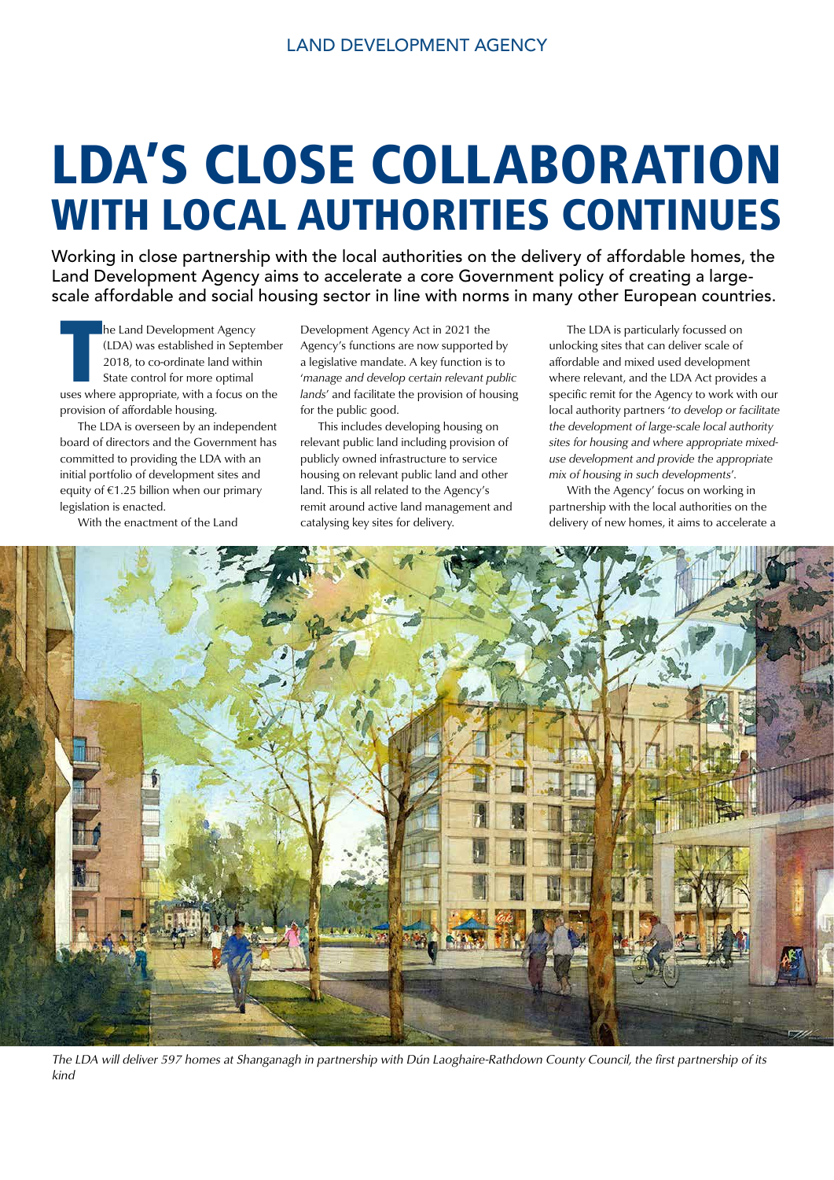# LDA'S CLOSE COLLABORATION WITH LOCAL AUTHORITIES CONTINUES

Working in close partnership with the local authorities on the delivery of affordable homes, the Land Development Agency aims to accelerate a core Government policy of creating a largescale affordable and social housing sector in line with norms in many other European countries.

**THE MANU SET ALLER IN SERVIET A FORM WAND WAS EXAMPLE 2018, to co-ordinate land within<br>
State control for more optimal<br>
uses where appropriate, with a focus on the** he Land Development Agency (LDA) was established in September 2018, to co-ordinate land within State control for more optimal provision of affordable housing.

 The LDA is overseen by an independent board of directors and the Government has committed to providing the LDA with an initial portfolio of development sites and equity of €1.25 billion when our primary legislation is enacted.

With the enactment of the Land

Development Agency Act in 2021 the Agency's functions are now supported by a legislative mandate. A key function is to '*manage and develop certain relevant public lands*' and facilitate the provision of housing for the public good.

 This includes developing housing on relevant public land including provision of publicly owned infrastructure to service housing on relevant public land and other land. This is all related to the Agency's remit around active land management and catalysing key sites for delivery.

 The LDA is particularly focussed on unlocking sites that can deliver scale of affordable and mixed used development where relevant, and the LDA Act provides a specific remit for the Agency to work with our local authority partners '*to develop or facilitate the development of large-scale local authority sites for housing and where appropriate mixeduse development and provide the appropriate mix of housing in such developments*'.

 With the Agency' focus on working in partnership with the local authorities on the delivery of new homes, it aims to accelerate a



The LDA will deliver 597 homes at Shanganagh in partnership with Dún Laoghaire-Rathdown County Council, the first partnership of its kind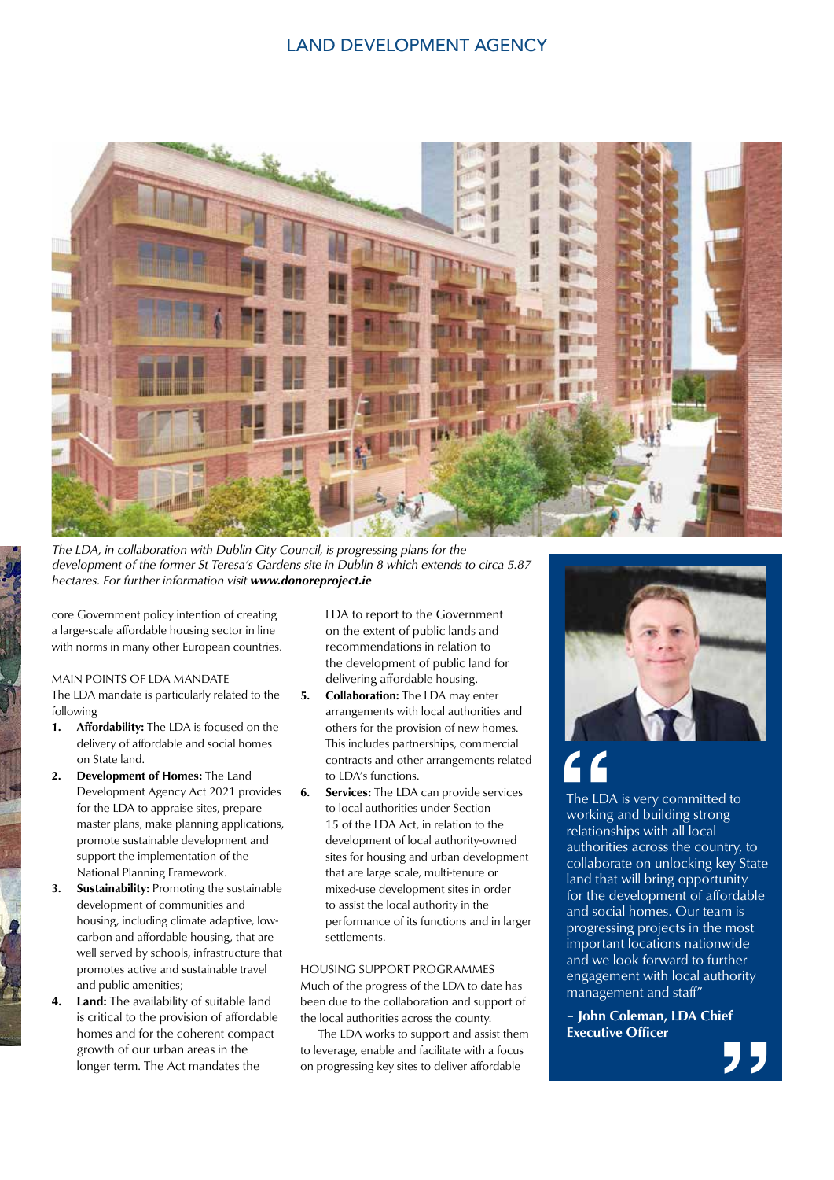### LAND DEVELOPMENT AGENCY



The LDA, in collaboration with Dublin City Council, is progressing plans for the development of the former St Teresa's Gardens site in Dublin 8 which extends to circa 5.87 hectares. For further information visit www.donoreproject.ie

core Government policy intention of creating a large-scale affordable housing sector in line with norms in many other European countries.

#### MAIN POINTS OF LDA MANDATE

The LDA mandate is particularly related to the following

- 1. Affordability: The LDA is focused on the delivery of affordable and social homes on State land.
- 2. Development of Homes: The Land Development Agency Act 2021 provides for the LDA to appraise sites, prepare master plans, make planning applications, promote sustainable development and support the implementation of the National Planning Framework.
- 3. Sustainability: Promoting the sustainable development of communities and housing, including climate adaptive, lowcarbon and affordable housing, that are well served by schools, infrastructure that promotes active and sustainable travel and public amenities;
- 4. Land: The availability of suitable land is critical to the provision of affordable homes and for the coherent compact growth of our urban areas in the longer term. The Act mandates the

LDA to report to the Government on the extent of public lands and recommendations in relation to the development of public land for delivering affordable housing.

- 5. Collaboration: The LDA may enter arrangements with local authorities and others for the provision of new homes. This includes partnerships, commercial contracts and other arrangements related to LDA's functions.
- **6.** Services: The LDA can provide services to local authorities under Section 15 of the LDA Act, in relation to the development of local authority-owned sites for housing and urban development that are large scale, multi-tenure or mixed-use development sites in order to assist the local authority in the performance of its functions and in larger settlements.

#### HOUSING SUPPORT PROGRAMMES Much of the progress of the LDA to date has

been due to the collaboration and support of the local authorities across the county.

 The LDA works to support and assist them to leverage, enable and facilitate with a focus on progressing key sites to deliver affordable



The LD/<sub>working</sup><br>
relations<br>
authorit<br>
collabor</sub> The LDA is very committed to working and building strong relationships with all local authorities across the country, to collaborate on unlocking key State land that will bring opportunity for the development of affordable and social homes. Our team is progressing projects in the most important locations nationwide and we look forward to further engagement with local authority management and staff"

– John Coleman, LDA Chief Executive Officer